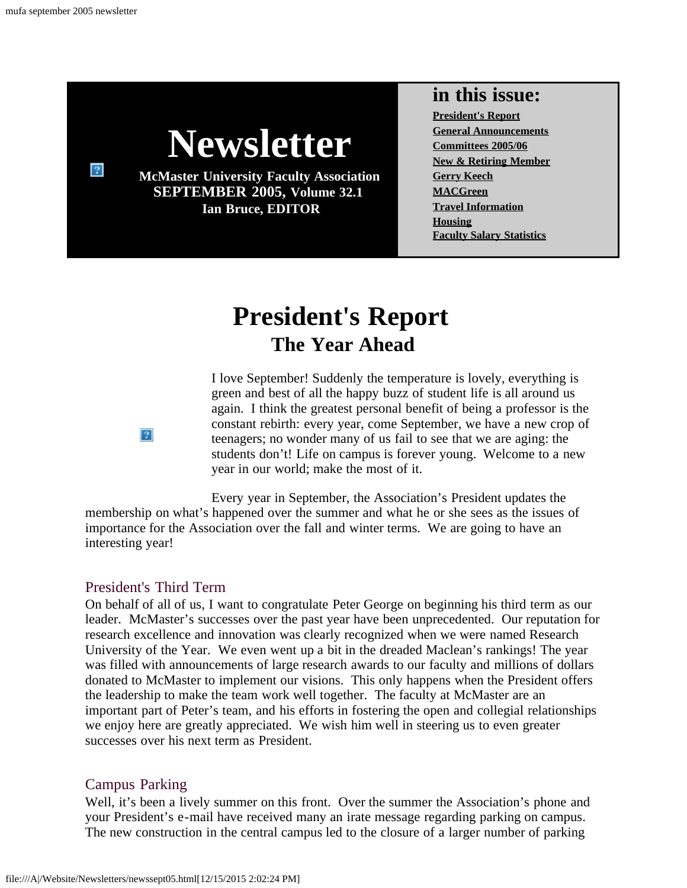<span id="page-0-0"></span> $\sqrt{2}$ 



**McMaster University Faculty Association SEPTEMBER 2005, Volume 32.1 Ian Bruce, EDITOR**

#### **in this issue:**

**[President's Report](#page-0-0) [General Announcements](#page-4-0) [Committees 2005/06](#page-2-0) [New & Retiring Member](#page-3-0) [Gerry Keech](#page-5-0) [MACGreen](#page-7-0) [Travel Information](#page-9-0) [Housing](#page-10-0) [Faculty Salary Statistics](file:///A|/Website/Newsletters/slry04-05.html)**

# **President's Report The Year Ahead**

I love September! Suddenly the temperature is lovely, everything is green and best of all the happy buzz of student life is all around us again. I think the greatest personal benefit of being a professor is the constant rebirth: every year, come September, we have a new crop of teenagers; no wonder many of us fail to see that we are aging: the students don't! Life on campus is forever young. Welcome to a new year in our world; make the most of it.

Every year in September, the Association's President updates the membership on what's happened over the summer and what he or she sees as the issues of importance for the Association over the fall and winter terms. We are going to have an interesting year!

#### President's Third Term

On behalf of all of us, I want to congratulate Peter George on beginning his third term as our leader. McMaster's successes over the past year have been unprecedented. Our reputation for research excellence and innovation was clearly recognized when we were named Research University of the Year. We even went up a bit in the dreaded Maclean's rankings! The year was filled with announcements of large research awards to our faculty and millions of dollars donated to McMaster to implement our visions. This only happens when the President offers the leadership to make the team work well together. The faculty at McMaster are an important part of Peter's team, and his efforts in fostering the open and collegial relationships we enjoy here are greatly appreciated. We wish him well in steering us to even greater successes over his next term as President.

#### Campus Parking

Well, it's been a lively summer on this front. Over the summer the Association's phone and your President's e-mail have received many an irate message regarding parking on campus. The new construction in the central campus led to the closure of a larger number of parking

 $|2|$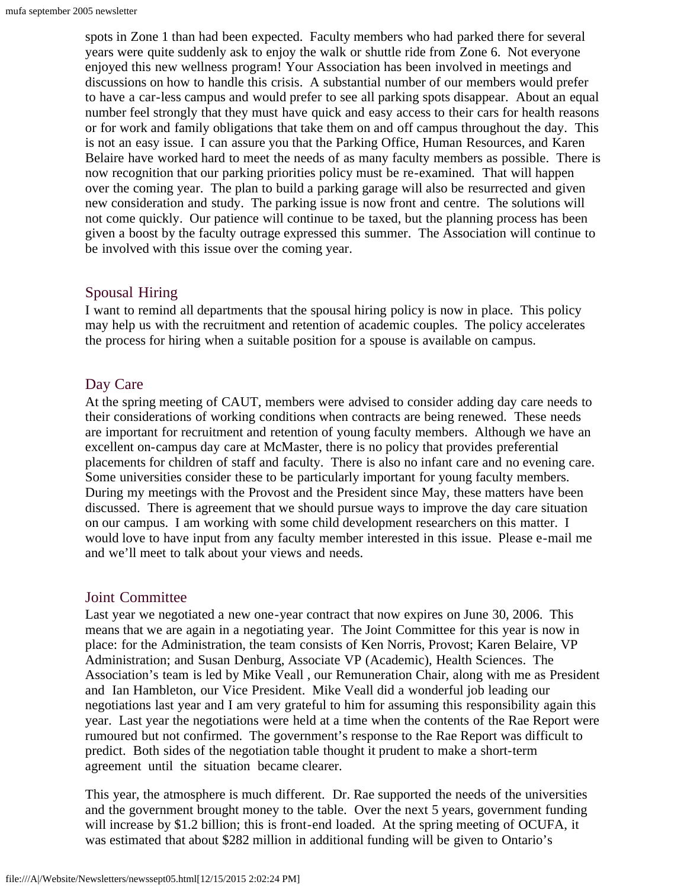spots in Zone 1 than had been expected. Faculty members who had parked there for several years were quite suddenly ask to enjoy the walk or shuttle ride from Zone 6. Not everyone enjoyed this new wellness program! Your Association has been involved in meetings and discussions on how to handle this crisis. A substantial number of our members would prefer to have a car-less campus and would prefer to see all parking spots disappear. About an equal number feel strongly that they must have quick and easy access to their cars for health reasons or for work and family obligations that take them on and off campus throughout the day. This is not an easy issue. I can assure you that the Parking Office, Human Resources, and Karen Belaire have worked hard to meet the needs of as many faculty members as possible. There is now recognition that our parking priorities policy must be re-examined. That will happen over the coming year. The plan to build a parking garage will also be resurrected and given new consideration and study. The parking issue is now front and centre. The solutions will not come quickly. Our patience will continue to be taxed, but the planning process has been given a boost by the faculty outrage expressed this summer. The Association will continue to be involved with this issue over the coming year.

#### Spousal Hiring

I want to remind all departments that the spousal hiring policy is now in place. This policy may help us with the recruitment and retention of academic couples. The policy accelerates the process for hiring when a suitable position for a spouse is available on campus.

#### Day Care

At the spring meeting of CAUT, members were advised to consider adding day care needs to their considerations of working conditions when contracts are being renewed. These needs are important for recruitment and retention of young faculty members. Although we have an excellent on-campus day care at McMaster, there is no policy that provides preferential placements for children of staff and faculty. There is also no infant care and no evening care. Some universities consider these to be particularly important for young faculty members. During my meetings with the Provost and the President since May, these matters have been discussed. There is agreement that we should pursue ways to improve the day care situation on our campus. I am working with some child development researchers on this matter. I would love to have input from any faculty member interested in this issue. Please e-mail me and we'll meet to talk about your views and needs.

#### Joint Committee

Last year we negotiated a new one-year contract that now expires on June 30, 2006. This means that we are again in a negotiating year. The Joint Committee for this year is now in place: for the Administration, the team consists of Ken Norris, Provost; Karen Belaire, VP Administration; and Susan Denburg, Associate VP (Academic), Health Sciences. The Association's team is led by Mike Veall , our Remuneration Chair, along with me as President and Ian Hambleton, our Vice President. Mike Veall did a wonderful job leading our negotiations last year and I am very grateful to him for assuming this responsibility again this year. Last year the negotiations were held at a time when the contents of the Rae Report were rumoured but not confirmed. The government's response to the Rae Report was difficult to predict. Both sides of the negotiation table thought it prudent to make a short-term agreement until the situation became clearer.

This year, the atmosphere is much different. Dr. Rae supported the needs of the universities and the government brought money to the table. Over the next 5 years, government funding will increase by \$1.2 billion; this is front-end loaded. At the spring meeting of OCUFA, it was estimated that about \$282 million in additional funding will be given to Ontario's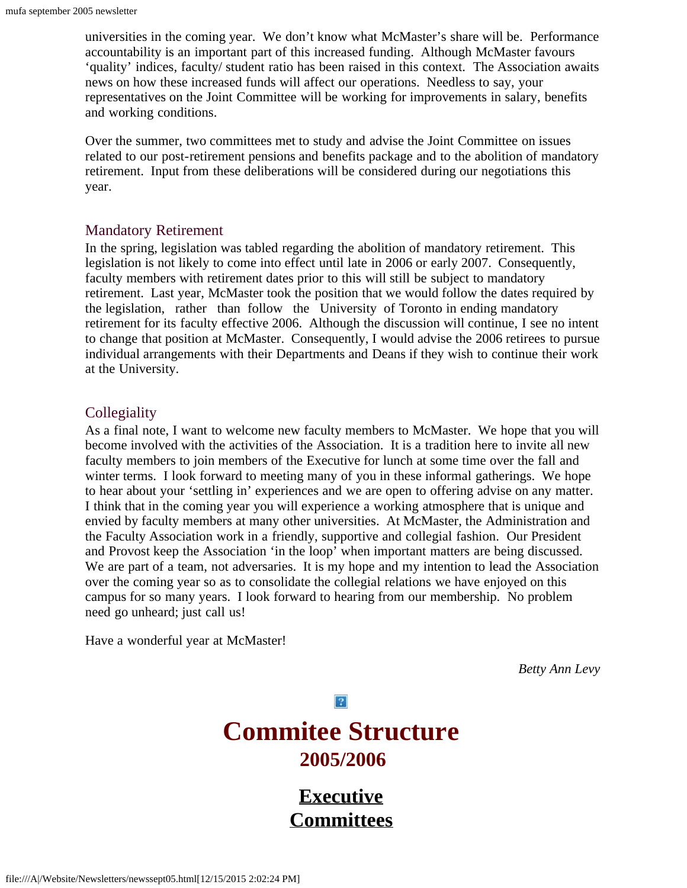universities in the coming year. We don't know what McMaster's share will be. Performance accountability is an important part of this increased funding. Although McMaster favours 'quality' indices, faculty/ student ratio has been raised in this context. The Association awaits news on how these increased funds will affect our operations. Needless to say, your representatives on the Joint Committee will be working for improvements in salary, benefits and working conditions.

Over the summer, two committees met to study and advise the Joint Committee on issues related to our post-retirement pensions and benefits package and to the abolition of mandatory retirement. Input from these deliberations will be considered during our negotiations this year.

#### Mandatory Retirement

In the spring, legislation was tabled regarding the abolition of mandatory retirement. This legislation is not likely to come into effect until late in 2006 or early 2007. Consequently, faculty members with retirement dates prior to this will still be subject to mandatory retirement. Last year, McMaster took the position that we would follow the dates required by the legislation, rather than follow the University of Toronto in ending mandatory retirement for its faculty effective 2006. Although the discussion will continue, I see no intent to change that position at McMaster. Consequently, I would advise the 2006 retirees to pursue individual arrangements with their Departments and Deans if they wish to continue their work at the University.

#### **Collegiality**

As a final note, I want to welcome new faculty members to McMaster. We hope that you will become involved with the activities of the Association. It is a tradition here to invite all new faculty members to join members of the Executive for lunch at some time over the fall and winter terms. I look forward to meeting many of you in these informal gatherings. We hope to hear about your 'settling in' experiences and we are open to offering advise on any matter. I think that in the coming year you will experience a working atmosphere that is unique and envied by faculty members at many other universities. At McMaster, the Administration and the Faculty Association work in a friendly, supportive and collegial fashion. Our President and Provost keep the Association 'in the loop' when important matters are being discussed. We are part of a team, not adversaries. It is my hope and my intention to lead the Association over the coming year so as to consolidate the collegial relations we have enjoyed on this campus for so many years. I look forward to hearing from our membership. No problem need go unheard; just call us!

<span id="page-2-0"></span>Have a wonderful year at McMaster!

*Betty Ann Levy*

 $|2|$ 

# **Commitee Structure 2005/2006**

**[Executive](file:///A|/Website/Newsletters/newexec.htm) [Committees](file:///A|/Website/Newsletters/committe.htm)**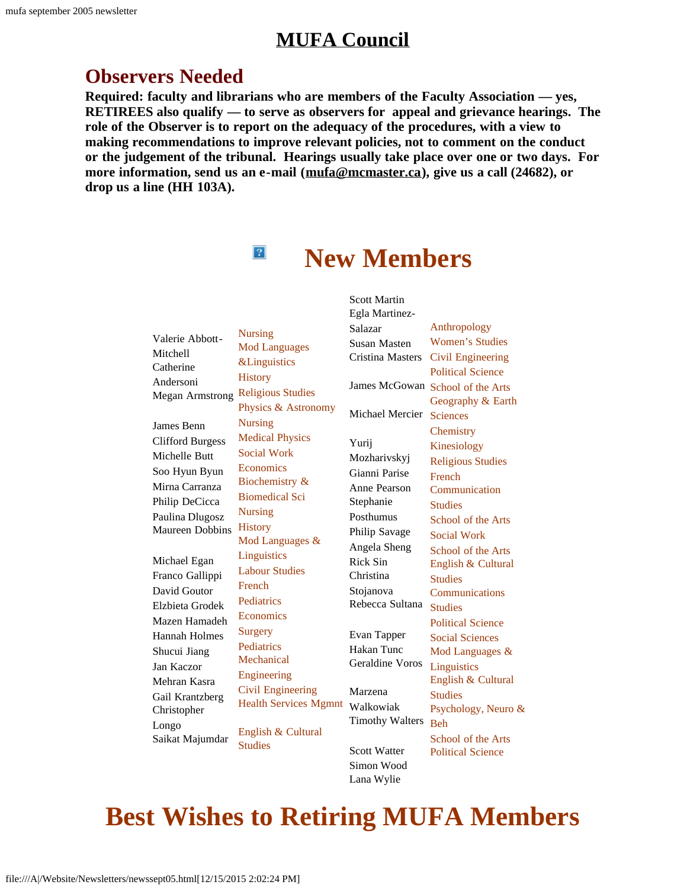## **[MUFA Council](file:///A|/Website/Newsletters/council.htm)**

## **Observers Needed**

**Required: faculty and librarians who are members of the Faculty Association — yes, RETIREES also qualify — to serve as observers for appeal and grievance hearings. The role of the Observer is to report on the adequacy of the procedures, with a view to making recommendations to improve relevant policies, not to comment on the conduct or the judgement of the tribunal. Hearings usually take place over one or two days. For more information, send us an e-mail ([mufa@mcmaster.ca\)](mailto:mufa@mcmaster.ca), give us a call (24682), or drop us a line (HH 103A).**

 $\left| \mathbf{2} \right|$ 

**New Members**

<span id="page-3-0"></span>

| Valerie Abbott-<br>Mitchell<br>Catherine<br>Andersoni<br>Megan Armstrong<br>James Benn<br><b>Clifford Burgess</b><br>Michelle Butt<br>Soo Hyun Byun<br>Mirna Carranza<br>Philip DeCicca<br>Paulina Dlugosz<br><b>Maureen Dobbins</b> | <b>Nursing</b><br><b>Mod Languages</b><br><b>&amp;Linguistics</b><br><b>History</b><br><b>Religious Studies</b><br>Physics & Astronomy<br><b>Nursing</b><br><b>Medical Physics</b><br><b>Social Work</b><br>Economics<br>Biochemistry &<br><b>Biomedical Sci</b><br><b>Nursing</b><br><b>History</b> | <b>Scott Martin</b><br>Egla Martinez-<br>Salazar<br>Susan Masten<br><b>Cristina Masters</b><br>Michael Mercier<br>Yurij<br>Mozharivskyj<br>Gianni Parise<br>Anne Pearson<br>Stephanie<br>Posthumus<br>Philip Savage | Anthropology<br><b>Women's Studies</b><br>Civil Engineering<br><b>Political Science</b><br>James McGowan School of the Arts<br>Geography & Earth<br><b>Sciences</b><br>Chemistry<br>Kinesiology<br><b>Religious Studies</b><br>French<br>Communication<br><b>Studies</b><br>School of the Arts<br><b>Social Work</b> |
|--------------------------------------------------------------------------------------------------------------------------------------------------------------------------------------------------------------------------------------|------------------------------------------------------------------------------------------------------------------------------------------------------------------------------------------------------------------------------------------------------------------------------------------------------|---------------------------------------------------------------------------------------------------------------------------------------------------------------------------------------------------------------------|----------------------------------------------------------------------------------------------------------------------------------------------------------------------------------------------------------------------------------------------------------------------------------------------------------------------|
| Michael Egan<br>Franco Gallippi<br>David Goutor<br>Elzbieta Grodek<br>Mazen Hamadeh<br>Hannah Holmes<br>Shucui Jiang<br>Jan Kaczor<br>Mehran Kasra<br>Gail Krantzberg<br>Christopher                                                 | Mod Languages &<br>Linguistics<br><b>Labour Studies</b><br>French<br>Pediatrics<br>Economics<br><b>Surgery</b><br>Pediatrics<br>Mechanical<br>Engineering<br><b>Civil Engineering</b><br><b>Health Services Mgmnt</b>                                                                                | Angela Sheng<br><b>Rick Sin</b><br>Christina<br>Stojanova<br>Rebecca Sultana<br>Evan Tapper<br>Hakan Tunc<br>Geraldine Voros<br>Marzena<br>Walkowiak                                                                | School of the Arts<br>English & Cultural<br><b>Studies</b><br>Communications<br><b>Studies</b><br><b>Political Science</b><br><b>Social Sciences</b><br>Mod Languages &<br>Linguistics<br>English & Cultural<br><b>Studies</b><br>Psychology, Neuro &                                                                |
| Longo<br>Saikat Majumdar                                                                                                                                                                                                             | English & Cultural<br><b>Studies</b>                                                                                                                                                                                                                                                                 | <b>Timothy Walters</b><br><b>Scott Watter</b>                                                                                                                                                                       | <b>Beh</b><br>School of the Arts<br><b>Political Science</b>                                                                                                                                                                                                                                                         |

# **Best Wishes to Retiring MUFA Members**

Simon Wood Lana Wylie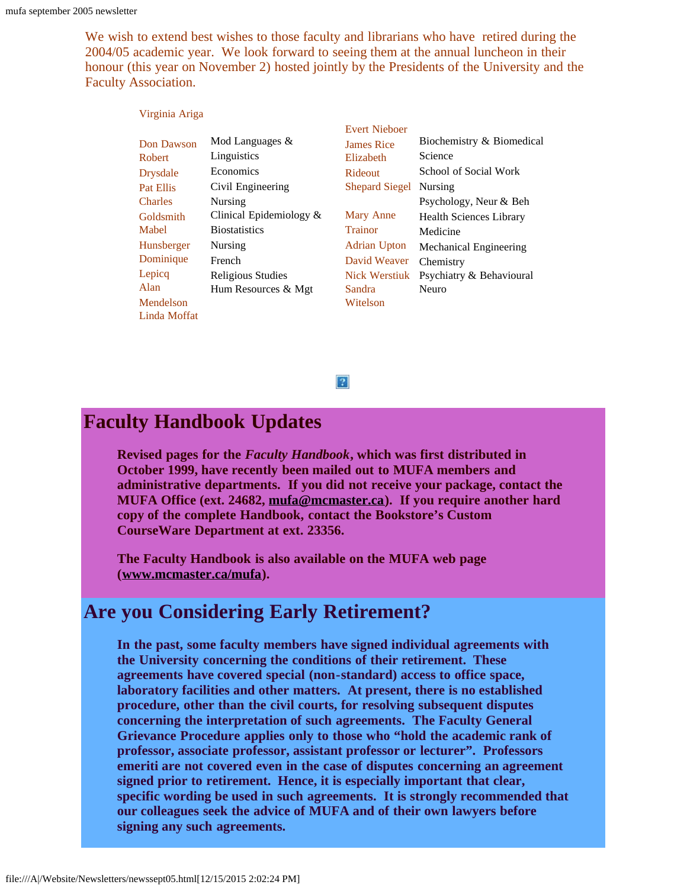We wish to extend best wishes to those faculty and librarians who have retired during the 2004/05 academic year. We look forward to seeing them at the annual luncheon in their honour (this year on November 2) hosted jointly by the Presidents of the University and the Faculty Association.

|                 |                            | <b>Evert Nieboer</b>  |                                |
|-----------------|----------------------------|-----------------------|--------------------------------|
| Don Dawson      | Mod Languages $\&$         | <b>James Rice</b>     | Biochemistry & Biomedical      |
| <b>Robert</b>   | Linguistics                | Elizabeth             | Science                        |
| <b>Drysdale</b> | Economics                  | Rideout               | School of Social Work          |
| Pat Ellis       | Civil Engineering          | <b>Shepard Siegel</b> | Nursing                        |
| <b>Charles</b>  | Nursing                    |                       | Psychology, Neur & Beh         |
| Goldsmith       | Clinical Epidemiology $\&$ | Mary Anne             | <b>Health Sciences Library</b> |
| Mabel           | <b>Biostatistics</b>       | <b>Trainor</b>        | Medicine                       |
| Hunsberger      | Nursing                    | Adrian Upton          | Mechanical Engineering         |
| Dominique       | French                     | David Weaver          | Chemistry                      |
| Lepicq          | <b>Religious Studies</b>   | <b>Nick Werstiuk</b>  | Psychiatry & Behavioural       |
| Alan            | Hum Resources & Mgt        | Sandra                | Neuro                          |
| Mendelson       |                            | Witelson              |                                |
| Linda Moffat    |                            |                       |                                |

#### $|2|$

## <span id="page-4-0"></span>**Faculty Handbook Updates**

Virginia Ariga

**Revised pages for the** *Faculty Handbook***, which was first distributed in October 1999, have recently been mailed out to MUFA members and administrative departments. If you did not receive your package, contact the MUFA Office (ext. 24682, [mufa@mcmaster.ca\)](mailto:  mufa@mcmaster.ca). If you require another hard copy of the complete Handbook, contact the Bookstore's Custom CourseWare Department at ext. 23356.**

**The Faculty Handbook is also available on the MUFA web page ([www.mcmaster.ca/mufa\)](http://www.mcmaster.ca/mufa).**

## **Are you Considering Early Retirement?**

**In the past, some faculty members have signed individual agreements with the University concerning the conditions of their retirement. These agreements have covered special (non-standard) access to office space, laboratory facilities and other matters. At present, there is no established procedure, other than the civil courts, for resolving subsequent disputes concerning the interpretation of such agreements. The Faculty General Grievance Procedure applies only to those who "hold the academic rank of professor, associate professor, assistant professor or lecturer". Professors emeriti are not covered even in the case of disputes concerning an agreement signed prior to retirement. Hence, it is especially important that clear, specific wording be used in such agreements. It is strongly recommended that our colleagues seek the advice of MUFA and of their own lawyers before signing any such agreements.**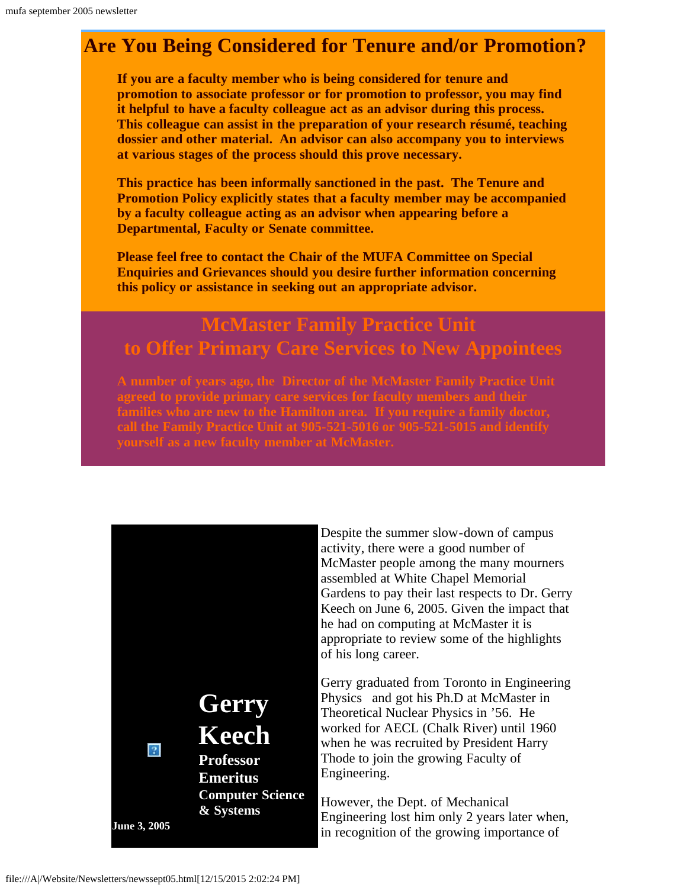# **Are You Being Considered for Tenure and/or Promotion?**

**If you are a faculty member who is being considered for tenure and promotion to associate professor or for promotion to professor, you may find it helpful to have a faculty colleague act as an advisor during this process. This colleague can assist in the preparation of your research résumé, teaching dossier and other material. An advisor can also accompany you to interviews at various stages of the process should this prove necessary.**

**This practice has been informally sanctioned in the past. The Tenure and Promotion Policy explicitly states that a faculty member may be accompanied by a faculty colleague acting as an advisor when appearing before a Departmental, Faculty or Senate committee.**

**Please feel free to contact the Chair of the MUFA Committee on Special Enquiries and Grievances should you desire further information concerning this policy or assistance in seeking out an appropriate advisor.**

# **McMaster Family Practice Unit to Offer Primary Care Services to New Appointees**

**A number of years ago, the Director of the McMaster Family Practice Unit families who are new to the Hamilton area. If you require a family doctor,**

<span id="page-5-0"></span>

Despite the summer slow-down of campus activity, there were a good number of McMaster people among the many mourners assembled at White Chapel Memorial Gardens to pay their last respects to Dr. Gerry Keech on June 6, 2005. Given the impact that he had on computing at McMaster it is appropriate to review some of the highlights of his long career.

Gerry graduated from Toronto in Engineering Physics and got his Ph.D at McMaster in Theoretical Nuclear Physics in '56. He worked for AECL (Chalk River) until 1960 when he was recruited by President Harry Thode to join the growing Faculty of Engineering.

However, the Dept. of Mechanical Engineering lost him only 2 years later when, in recognition of the growing importance of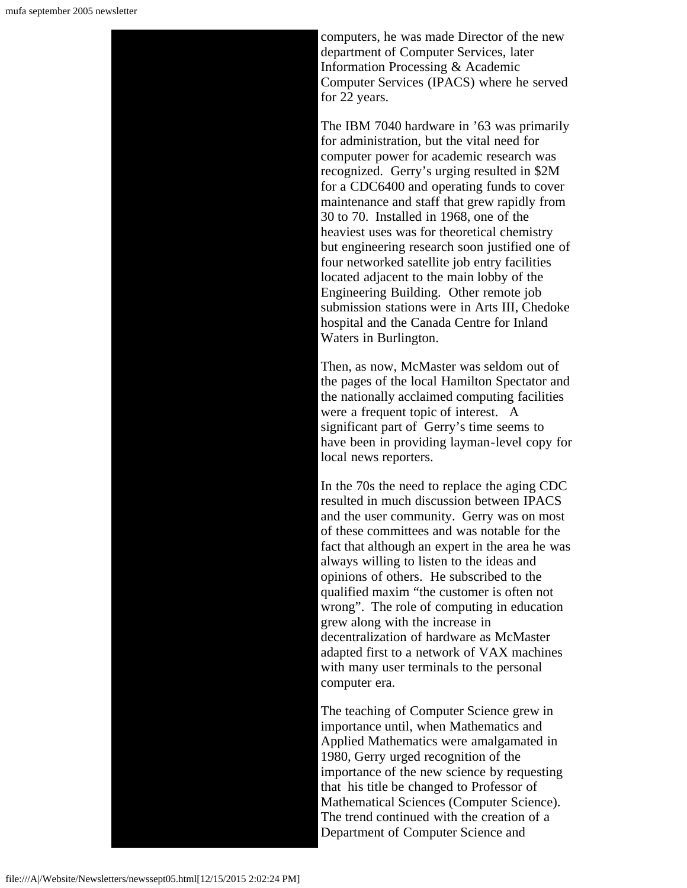computers, he was made Director of the new department of Computer Services, later Information Processing & Academic Computer Services (IPACS) where he served for 22 years.

The IBM 7040 hardware in '63 was primarily for administration, but the vital need for computer power for academic research was recognized. Gerry's urging resulted in \$2M for a CDC6400 and operating funds to cover maintenance and staff that grew rapidly from 30 to 70. Installed in 1968, one of the heaviest uses was for theoretical chemistry but engineering research soon justified one of four networked satellite job entry facilities located adjacent to the main lobby of the Engineering Building. Other remote job submission stations were in Arts III, Chedoke hospital and the Canada Centre for Inland Waters in Burlington.

Then, as now, McMaster was seldom out of the pages of the local Hamilton Spectator and the nationally acclaimed computing facilities were a frequent topic of interest. A significant part of Gerry's time seems to have been in providing layman-level copy for local news reporters.

In the 70s the need to replace the aging CDC resulted in much discussion between IPACS and the user community. Gerry was on most of these committees and was notable for the fact that although an expert in the area he was always willing to listen to the ideas and opinions of others. He subscribed to the qualified maxim "the customer is often not wrong". The role of computing in education grew along with the increase in decentralization of hardware as McMaster adapted first to a network of VAX machines with many user terminals to the personal computer era.

The teaching of Computer Science grew in importance until, when Mathematics and Applied Mathematics were amalgamated in 1980, Gerry urged recognition of the importance of the new science by requesting that his title be changed to Professor of Mathematical Sciences (Computer Science). The trend continued with the creation of a Department of Computer Science and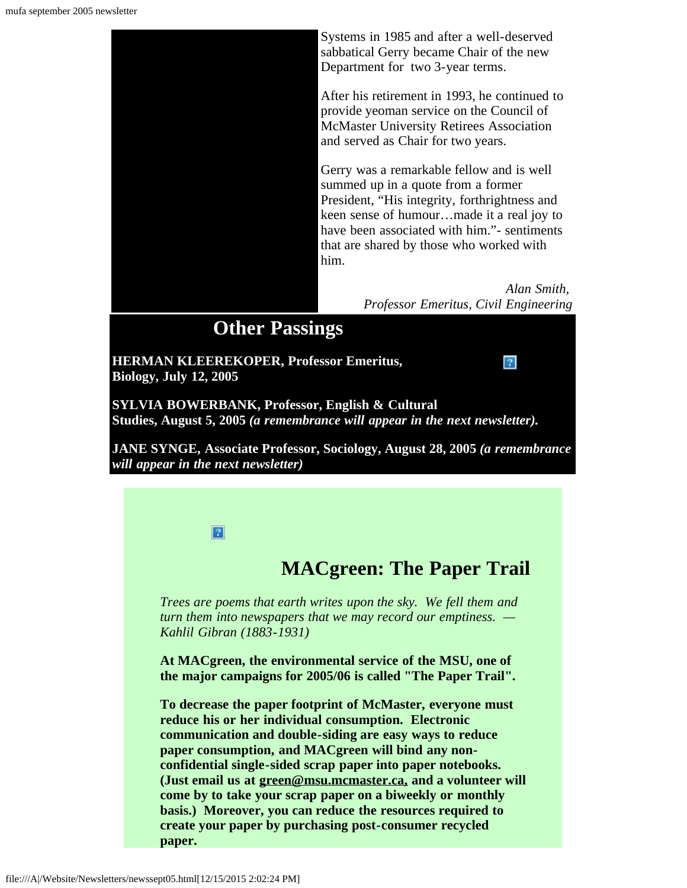

**SYLVIA BOWERBANK, Professor, English & Cultural Studies, August 5, 2005** *(a remembrance will appear in the next newsletter).*

<span id="page-7-0"></span>**JANE SYNGE, Associate Professor, Sociology, August 28, 2005** *(a remembrance will appear in the next newsletter)*



## **MACgreen: The Paper Trail**

*Trees are poems that earth writes upon the sky. We fell them and turn them into newspapers that we may record our emptiness. — Kahlil Gibran (1883-1931)*

**At MACgreen, the environmental service of the MSU, one of the major campaigns for 2005/06 is called "The Paper Trail".**

**To decrease the paper footprint of McMaster, everyone must reduce his or her individual consumption. Electronic communication and double-siding are easy ways to reduce paper consumption, and MACgreen will bind any nonconfidential single-sided scrap paper into paper notebooks. (Just email us at [green@msu.mcmaster.ca,](mailto:green@msu.mcmaster.ca) and a volunteer will come by to take your scrap paper on a biweekly or monthly basis.) Moreover, you can reduce the resources required to create your paper by purchasing post-consumer recycled paper.**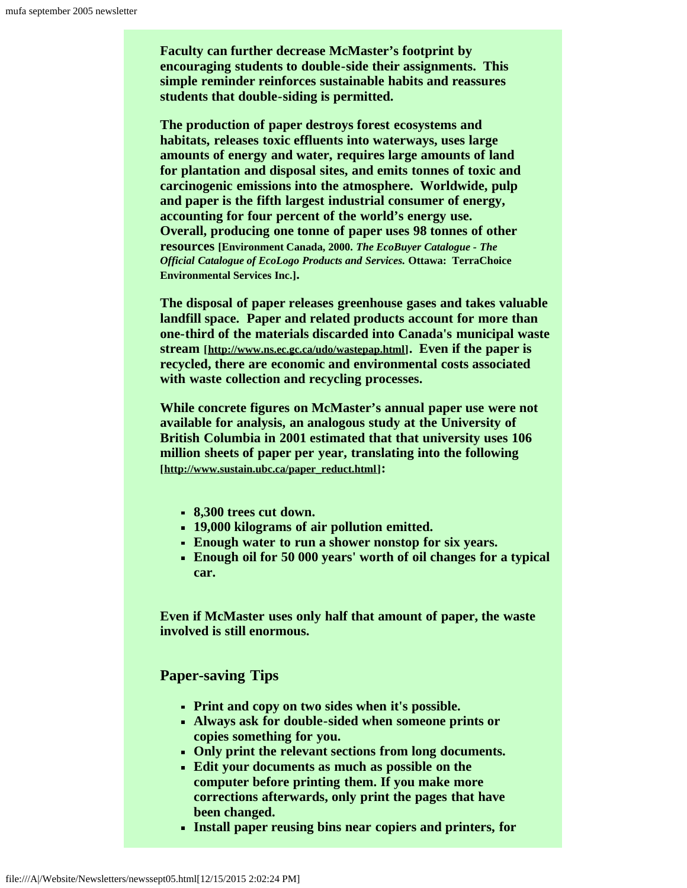**Faculty can further decrease McMaster's footprint by encouraging students to double-side their assignments. This simple reminder reinforces sustainable habits and reassures students that double-siding is permitted.**

**The production of paper destroys forest ecosystems and habitats, releases toxic effluents into waterways, uses large amounts of energy and water, requires large amounts of land for plantation and disposal sites, and emits tonnes of toxic and carcinogenic emissions into the atmosphere. Worldwide, pulp and paper is the fifth largest industrial consumer of energy, accounting for four percent of the world's energy use. Overall, producing one tonne of paper uses 98 tonnes of other resources [Environment Canada, 2000.** *The EcoBuyer Catalogue - The Official Catalogue of EcoLogo Products and Services.* **Ottawa: TerraChoice Environmental Services Inc.].**

**The disposal of paper releases greenhouse gases and takes valuable landfill space. Paper and related products account for more than one-third of the materials discarded into Canada's municipal waste stream [[http://www.ns.ec.gc.ca/udo/wastepap.html\]](http://www.ns.ec.gc.ca/udo/wastepap.html). Even if the paper is recycled, there are economic and environmental costs associated with waste collection and recycling processes.**

**While concrete figures on McMaster's annual paper use were not available for analysis, an analogous study at the University of British Columbia in 2001 estimated that that university uses 106 million sheets of paper per year, translating into the following [[http://www.sustain.ubc.ca/paper\\_reduct.html\]](http://www.sustain.ubc.ca/paper_reduct.html):**

- **8,300 trees cut down.**
- **19,000 kilograms of air pollution emitted.**
- **Enough water to run a shower nonstop for six years.**
- **Enough oil for 50 000 years' worth of oil changes for a typical car.**

**Even if McMaster uses only half that amount of paper, the waste involved is still enormous.**

**Paper-saving Tips**

- **Print and copy on two sides when it's possible.**
- **Always ask for double-sided when someone prints or copies something for you.**
- **Only print the relevant sections from long documents.**
- **Edit your documents as much as possible on the computer before printing them. If you make more corrections afterwards, only print the pages that have been changed.**
- **Install paper reusing bins near copiers and printers, for**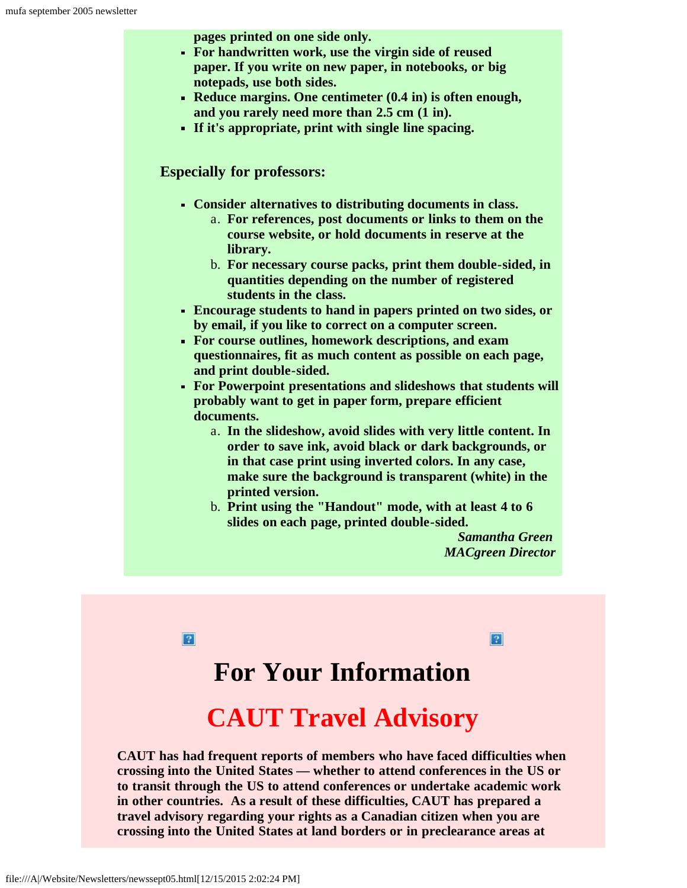**pages printed on one side only.**

- **For handwritten work, use the virgin side of reused paper. If you write on new paper, in notebooks, or big notepads, use both sides.**
- **Reduce margins. One centimeter (0.4 in) is often enough, and you rarely need more than 2.5 cm (1 in).**
- **If it's appropriate, print with single line spacing.**

#### **Especially for professors:**

- **Consider alternatives to distributing documents in class.**
	- a. **For references, post documents or links to them on the course website, or hold documents in reserve at the library.**
	- b. **For necessary course packs, print them double-sided, in quantities depending on the number of registered students in the class.**
- **Encourage students to hand in papers printed on two sides, or by email, if you like to correct on a computer screen.**
- **For course outlines, homework descriptions, and exam questionnaires, fit as much content as possible on each page, and print double-sided.**
- **For Powerpoint presentations and slideshows that students will probably want to get in paper form, prepare efficient documents.**
	- a. **In the slideshow, avoid slides with very little content. In order to save ink, avoid black or dark backgrounds, or in that case print using inverted colors. In any case, make sure the background is transparent (white) in the printed version.**
	- b. **Print using the "Handout" mode, with at least 4 to 6 slides on each page, printed double-sided.**

*Samantha Green MACgreen Director*

 $\overline{\mathbf{2}}$ 

 $|2|$ 

# **For Your Information**

# **CAUT Travel Advisory**

<span id="page-9-0"></span>**CAUT has had frequent reports of members who have faced difficulties when crossing into the United States — whether to attend conferences in the US or to transit through the US to attend conferences or undertake academic work in other countries. As a result of these difficulties, CAUT has prepared a travel advisory regarding your rights as a Canadian citizen when you are crossing into the United States at land borders or in preclearance areas at**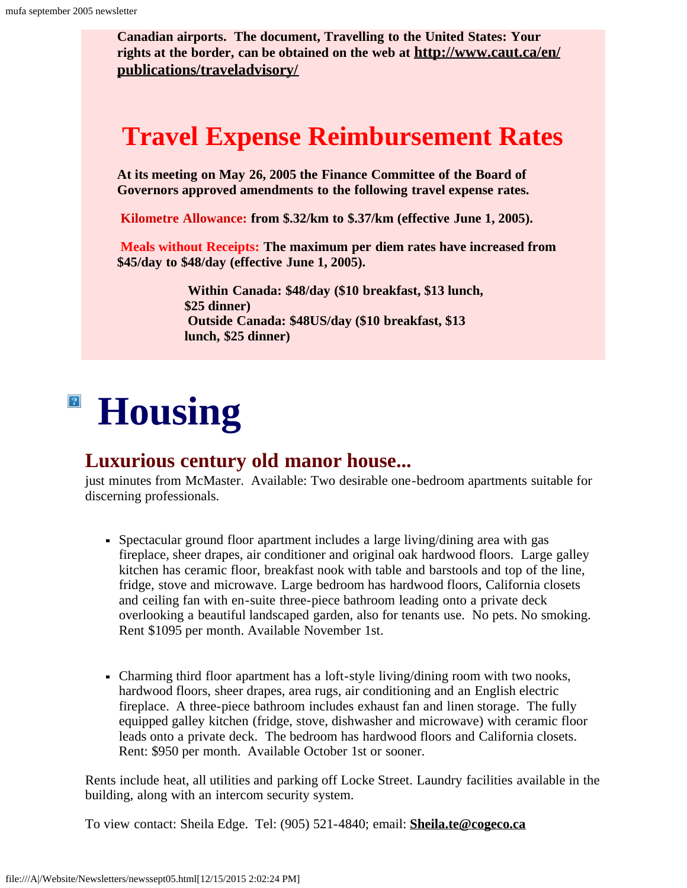**Canadian airports. The document, Travelling to the United States: Your rights at the border, can be obtained on the web at [http://www.caut.ca/en/](http://www.caut.ca/en/ publications/traveladvisory/) [publications/traveladvisory/](http://www.caut.ca/en/ publications/traveladvisory/)**

# **Travel Expense Reimbursement Rates**

**At its meeting on May 26, 2005 the Finance Committee of the Board of Governors approved amendments to the following travel expense rates.**

**Kilometre Allowance: from \$.32/km to \$.37/km (effective June 1, 2005).**

**Meals without Receipts: The maximum per diem rates have increased from \$45/day to \$48/day (effective June 1, 2005).**

> **Within Canada: \$48/day (\$10 breakfast, \$13 lunch, \$25 dinner) Outside Canada: \$48US/day (\$10 breakfast, \$13 lunch, \$25 dinner)**

## <span id="page-10-0"></span> $\vert 2 \vert$ **Housing**

### **Luxurious century old manor house...**

just minutes from McMaster. Available: Two desirable one-bedroom apartments suitable for discerning professionals.

- Spectacular ground floor apartment includes a large living/dining area with gas fireplace, sheer drapes, air conditioner and original oak hardwood floors. Large galley kitchen has ceramic floor, breakfast nook with table and barstools and top of the line, fridge, stove and microwave. Large bedroom has hardwood floors, California closets and ceiling fan with en-suite three-piece bathroom leading onto a private deck overlooking a beautiful landscaped garden, also for tenants use. No pets. No smoking. Rent \$1095 per month. Available November 1st.
- Charming third floor apartment has a loft-style living/dining room with two nooks, hardwood floors, sheer drapes, area rugs, air conditioning and an English electric fireplace. A three-piece bathroom includes exhaust fan and linen storage. The fully equipped galley kitchen (fridge, stove, dishwasher and microwave) with ceramic floor leads onto a private deck. The bedroom has hardwood floors and California closets. Rent: \$950 per month. Available October 1st or sooner.

Rents include heat, all utilities and parking off Locke Street. Laundry facilities available in the building, along with an intercom security system.

To view contact: Sheila Edge. Tel: (905) 521-4840; email: **[Sheila.te@cogeco.ca](mailto:Sheila.te@cogeco.ca)**